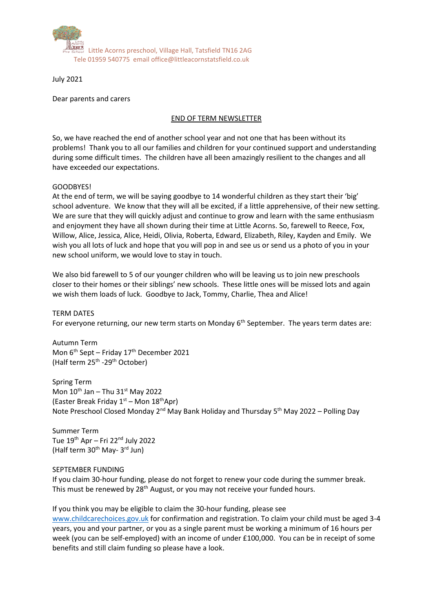

July 2021

Dear parents and carers

## END OF TERM NEWSLETTER

So, we have reached the end of another school year and not one that has been without its problems! Thank you to all our families and children for your continued support and understanding during some difficult times. The children have all been amazingly resilient to the changes and all have exceeded our expectations.

### GOODBYES!

At the end of term, we will be saying goodbye to 14 wonderful children as they start their 'big' school adventure. We know that they will all be excited, if a little apprehensive, of their new setting. We are sure that they will quickly adjust and continue to grow and learn with the same enthusiasm and enjoyment they have all shown during their time at Little Acorns. So, farewell to Reece, Fox, Willow, Alice, Jessica, Alice, Heidi, Olivia, Roberta, Edward, Elizabeth, Riley, Kayden and Emily. We wish you all lots of luck and hope that you will pop in and see us or send us a photo of you in your new school uniform, we would love to stay in touch.

We also bid farewell to 5 of our younger children who will be leaving us to join new preschools closer to their homes or their siblings' new schools. These little ones will be missed lots and again we wish them loads of luck. Goodbye to Jack, Tommy, Charlie, Thea and Alice!

TERM DATES For everyone returning, our new term starts on Monday 6<sup>th</sup> September. The years term dates are:

Autumn Term Mon  $6<sup>th</sup>$  Sept – Friday 17<sup>th</sup> December 2021 (Half term 25<sup>th</sup> -29<sup>th</sup> October)

Spring Term Mon  $10^{th}$  Jan – Thu  $31^{st}$  May 2022 (Easter Break Friday  $1<sup>st</sup>$  – Mon  $18<sup>th</sup>$ Apr) Note Preschool Closed Monday 2<sup>nd</sup> May Bank Holiday and Thursday 5<sup>th</sup> May 2022 – Polling Day

Summer Term Tue  $19<sup>th</sup>$  Apr – Fri 22<sup>nd</sup> July 2022 (Half term 30<sup>th</sup> May- 3<sup>rd</sup> Jun)

### SEPTEMBER FUNDING

If you claim 30-hour funding, please do not forget to renew your code during the summer break. This must be renewed by 28<sup>th</sup> August, or you may not receive your funded hours.

If you think you may be eligible to claim the 30-hour funding, please see [www.childcarechoices.gov.uk](http://www.childcarechoices.gov.uk/) for confirmation and registration. To claim your child must be aged 3-4

years, you and your partner, or you as a single parent must be working a minimum of 16 hours per week (you can be self-employed) with an income of under £100,000. You can be in receipt of some benefits and still claim funding so please have a look.